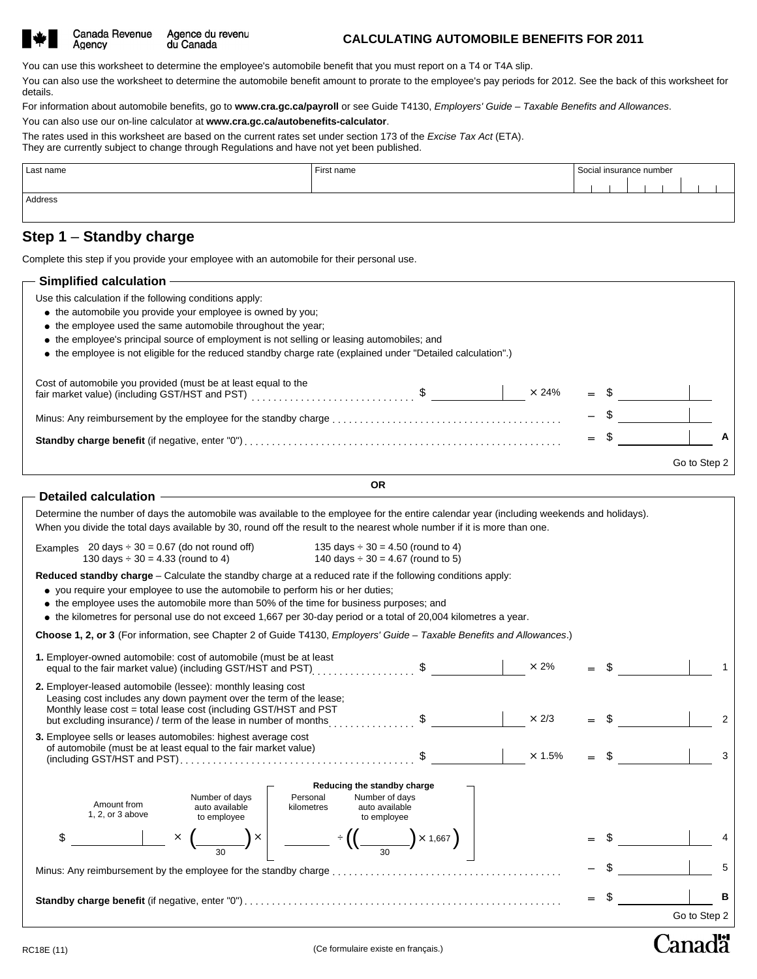| ٠ |
|---|
|---|

Agency

Agence du revenu Canada Revenue du Canada

#### **CALCULATING AUTOMOBILE BENEFITS FOR 2011**

You can use this worksheet to determine the employee's automobile benefit that you must report on a T4 or T4A slip.

You can also use the worksheet to determine the automobile benefit amount to prorate to the employee's pay periods for 2012. See the back of this worksheet for details.

For information about automobile benefits, go to **www.cra.gc.ca/payroll** or see Guide T4130, *Employers' Guide – Taxable Benefits and Allowances*.

You can also use our on-line calculator at **www.cra.gc.ca/autobenefits-calculator**.

The rates used in this worksheet are based on the current rates set under section 173 of the *Excise Tax Act* (ETA). They are currently subject to change through Regulations and have not yet been published.

| Last name | First name | Social insurance number |  |  |  |  |  |  |
|-----------|------------|-------------------------|--|--|--|--|--|--|
|           |            |                         |  |  |  |  |  |  |
| Address   |            |                         |  |  |  |  |  |  |
|           |            |                         |  |  |  |  |  |  |

## **Step 1** – **Standby charge**

Complete this step if you provide your employee with an automobile for their personal use.

| - Simplified calculation -                                                                                                                                                                                                                                                                                                                                                                           |    |              |        |              |   |
|------------------------------------------------------------------------------------------------------------------------------------------------------------------------------------------------------------------------------------------------------------------------------------------------------------------------------------------------------------------------------------------------------|----|--------------|--------|--------------|---|
| Use this calculation if the following conditions apply:<br>• the automobile you provide your employee is owned by you;<br>• the employee used the same automobile throughout the year;<br>• the employee's principal source of employment is not selling or leasing automobiles; and<br>• the employee is not eligible for the reduced standby charge rate (explained under "Detailed calculation".) |    |              |        |              |   |
| Cost of automobile you provided (must be at least equal to the                                                                                                                                                                                                                                                                                                                                       |    | $\times$ 24% | $=$ \$ |              |   |
|                                                                                                                                                                                                                                                                                                                                                                                                      |    |              |        |              |   |
|                                                                                                                                                                                                                                                                                                                                                                                                      |    |              | $=$    |              | А |
|                                                                                                                                                                                                                                                                                                                                                                                                      |    |              |        | Go to Step 2 |   |
|                                                                                                                                                                                                                                                                                                                                                                                                      | ΟR |              |        |              |   |

|  |    | ٠        |
|--|----|----------|
|  | M. | ۰.<br>۰, |

| fair market value) (including GST/HST and PST)                                                                                                                                                                                                                                                                                                                                                                                                                                                      |                                                                                  | X 24%         |        |              |
|-----------------------------------------------------------------------------------------------------------------------------------------------------------------------------------------------------------------------------------------------------------------------------------------------------------------------------------------------------------------------------------------------------------------------------------------------------------------------------------------------------|----------------------------------------------------------------------------------|---------------|--------|--------------|
|                                                                                                                                                                                                                                                                                                                                                                                                                                                                                                     |                                                                                  |               |        |              |
|                                                                                                                                                                                                                                                                                                                                                                                                                                                                                                     |                                                                                  |               |        | A            |
|                                                                                                                                                                                                                                                                                                                                                                                                                                                                                                     |                                                                                  |               |        | Go to Step 2 |
|                                                                                                                                                                                                                                                                                                                                                                                                                                                                                                     | <b>OR</b>                                                                        |               |        |              |
| Detailed calculation -                                                                                                                                                                                                                                                                                                                                                                                                                                                                              |                                                                                  |               |        |              |
| Determine the number of days the automobile was available to the employee for the entire calendar year (including weekends and holidays).<br>When you divide the total days available by 30, round off the result to the nearest whole number if it is more than one.                                                                                                                                                                                                                               |                                                                                  |               |        |              |
| Examples $20 \text{ days} \div 30 = 0.67$ (do not round off)<br>130 days $\div$ 30 = 4.33 (round to 4)                                                                                                                                                                                                                                                                                                                                                                                              | 135 days $\div$ 30 = 4.50 (round to 4)<br>140 days $\div$ 30 = 4.67 (round to 5) |               |        |              |
| Reduced standby charge – Calculate the standby charge at a reduced rate if the following conditions apply:<br>• you require your employee to use the automobile to perform his or her duties;<br>• the employee uses the automobile more than 50% of the time for business purposes; and<br>• the kilometres for personal use do not exceed 1,667 per 30-day period or a total of 20,004 kilometres a year.                                                                                         |                                                                                  |               |        |              |
| Choose 1, 2, or 3 (For information, see Chapter 2 of Guide T4130, Employers' Guide - Taxable Benefits and Allowances.)                                                                                                                                                                                                                                                                                                                                                                              |                                                                                  |               |        |              |
| 1. Employer-owned automobile: cost of automobile (must be at least<br>equal to the fair market value) (including GST/HST and PST) [ [ [ [ [ [ ] ] $\quad$ [ [ ] [ ] ] $\sim$ [ $\sim$ [ $\sim$ [ $\sim$ [ ] ] $\sim$ [ $\sim$ [ ] $\sim$ [ $\sim$ [ ] $\sim$ [ $\sim$ [ ] $\sim$ [ ] $\sim$ [ ] $\sim$ [ ] $\sim$ [ ] $\sim$ [ ] $\sim$                                                                                                                                                             |                                                                                  | $\times$ 2%   |        | $\mathbf{1}$ |
| 2. Employer-leased automobile (lessee): monthly leasing cost<br>Leasing cost includes any down payment over the term of the lease;<br>Monthly lease cost = total lease cost (including GST/HST and PST<br>but excluding insurance) / term of the lease in number of months                                                                                                                                                                                                                          | $\mathbb{S}$                                                                     | $\times$ 2/3  |        | 2            |
| 3. Employee sells or leases automobiles: highest average cost<br>of automobile (must be at least equal to the fair market value)                                                                                                                                                                                                                                                                                                                                                                    | $\mathbb{S}$                                                                     | $\times$ 1.5% | $=$ \$ | $\mathbf{3}$ |
|                                                                                                                                                                                                                                                                                                                                                                                                                                                                                                     | Reducing the standby charge                                                      |               |        |              |
| Number of days<br>Amount from<br>auto available<br>1, 2, or 3 above<br>to employee                                                                                                                                                                                                                                                                                                                                                                                                                  | Personal<br>Number of days<br>auto available<br>kilometres<br>to employee        |               |        |              |
| $\overline{\phantom{a}}$ $\overline{\phantom{a}}$ $\overline{\phantom{a}}$ $\overline{\phantom{a}}$ $\overline{\phantom{a}}$ $\overline{\phantom{a}}$ $\overline{\phantom{a}}$ $\overline{\phantom{a}}$ $\overline{\phantom{a}}$ $\overline{\phantom{a}}$ $\overline{\phantom{a}}$ $\overline{\phantom{a}}$ $\overline{\phantom{a}}$ $\overline{\phantom{a}}$ $\overline{\phantom{a}}$ $\overline{\phantom{a}}$ $\overline{\phantom{a}}$ $\overline{\phantom{a}}$ $\overline{\$<br>\$<br>$\times$ ( | $\frac{1}{1000}$ + $\left( \frac{1}{1000}$ $\times 1,667 \right)$                |               |        |              |
|                                                                                                                                                                                                                                                                                                                                                                                                                                                                                                     |                                                                                  |               |        | 5            |
|                                                                                                                                                                                                                                                                                                                                                                                                                                                                                                     |                                                                                  |               |        | B            |
|                                                                                                                                                                                                                                                                                                                                                                                                                                                                                                     |                                                                                  |               |        | Go to Step 2 |

# Canadä